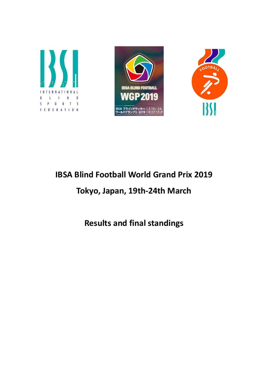





# IBSA Blind Football World Grand Prix 2019

# Tokyo, Japan, 19th-24th March

Results and final standings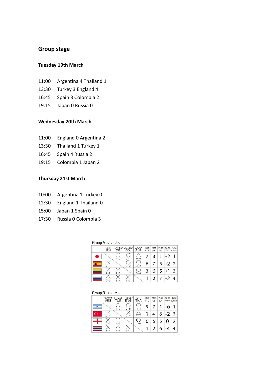# Group stage

#### Tuesday 19th March

- 11:00 Argentina 4 Thailand 1
- 13:30 Turkey 3 England 4
- 16:45 Spain 3 Colombia 2
- 19:15 Japan 0 Russia 0

### Wednesday 20th March

- 11:00 England 0 Argentina 2
- 13:30 Thailand 1 Turkey 1
- 16:45 Spain 4 Russia 2
- 19:15 Colombia 1 Japan 2

#### Thursday 21st March

- 10:00 Argentina 1 Turkey 0
- 12:30 England 1 Thailand 0
- 15:00 Japan 1 Spain 0
- 17:30 Russia 0 Colombia 3

| Group A $\mathcal{I} \cup -\mathcal{I}$ A |  |
|-------------------------------------------|--|
|-------------------------------------------|--|

| 日本<br><b>JPN</b> | ESP     | スペイン コロンピア<br>COL | ロシア<br><b>RUS</b> | 勝点<br>PTS | 得点<br>GF      | 失点<br>GA | 得失点差<br>$+/-$ RANK | 順位             |
|------------------|---------|-------------------|-------------------|-----------|---------------|----------|--------------------|----------------|
|                  | $1 - 0$ | Į<br>$2 - 1$      | $0 - 0$           | 7         | 3             |          | $+2$               |                |
|                  |         | $3 - 2$           | $4 - 2$           | 6         | 7             | 5        | $+2$ 2             |                |
| $1 - 2$          |         |                   | $3 - 0$           |           | 6             | 5        | $+1$               | $\overline{3}$ |
| $0 - 0$          |         | $0 - 3$           |                   |           | $\mathcal{P}$ |          | $-2$               | $\overline{A}$ |

| Group $B \sim \pi - \pi B$ |  |  |  |  |
|----------------------------|--|--|--|--|
|----------------------------|--|--|--|--|

| アルゼンチン<br><b>ARG</b> | トルコ<br><b>TUR</b> | インプランド<br><b>ENG</b> | タイ<br><b>THA</b> | 勝点<br>PTS | 得点<br>GF | GA | 失点 假点差 順位<br>$+/-$ RANK |               |
|----------------------|-------------------|----------------------|------------------|-----------|----------|----|-------------------------|---------------|
|                      | $-0$              | $2 - 0$              |                  | 9         |          |    |                         |               |
| $0 -$                |                   | $3 - 4$              | $1 - 1$          |           |          | 6  | $-2 3$                  |               |
| $0 - 2$              | $4 - 3$           |                      | $1 - 0$          | 6         | 5        | 5  | 0                       | $\mathcal{P}$ |
|                      |                   |                      |                  |           | っ        |    |                         |               |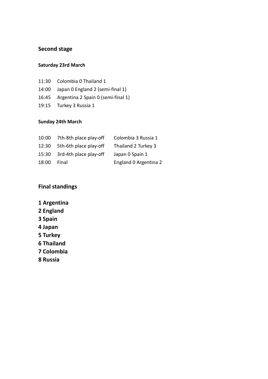# Second stage

## Saturday 23rd March

- 11:30 Colombia 0 Thailand 1
- 14:00 Japan 0 England 2 (semi-final 1)
- 16:45 Argentina 2 Spain 0 (semi-final 1)
- 19:15 Turkey 3 Russia 1

# Sunday 24th March

| 10:00 | 7th-8th place play-off | Colombia 3 Russia 1   |
|-------|------------------------|-----------------------|
| 12:30 | 5th-6th place play-off | Thailand 2 Turkey 3   |
| 15:30 | 3rd-4th place play-off | Japan 0 Spain 1       |
| 18:00 | Final                  | England 0 Argentina 2 |

# Final standings

- 1 Argentina
- 2 England
- 3 Spain
- 4 Japan
- 5 Turkey
- 6 Thailand
- 7 Colombia
- 8 Russia